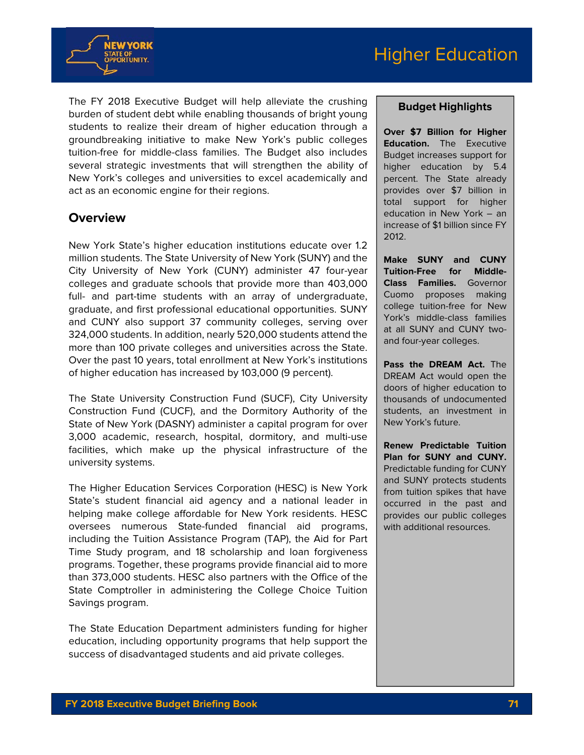



The FY 2018 Executive Budget will help alleviate the crushing burden of student debt while enabling thousands of bright young students to realize their dream of higher education through a groundbreaking initiative to make New York's public colleges tuition-free for middle-class families. The Budget also includes several strategic investments that will strengthen the ability of New York's colleges and universities to excel academically and act as an economic engine for their regions.

## **Overview**

New York State's higher education institutions educate over 1.2 million students. The State University of New York (SUNY) and the City University of New York (CUNY) administer 47 four-year colleges and graduate schools that provide more than 403,000 full- and part-time students with an array of undergraduate, graduate, and first professional educational opportunities. SUNY and CUNY also support 37 community colleges, serving over 324,000 students. In addition, nearly 520,000 students attend the more than 100 private colleges and universities across the State. Over the past 10 years, total enrollment at New York's institutions of higher education has increased by 103,000 (9 percent).

The State University Construction Fund (SUCF), City University Construction Fund (CUCF), and the Dormitory Authority of the State of New York (DASNY) administer a capital program for over 3,000 academic, research, hospital, dormitory, and multi-use facilities, which make up the physical infrastructure of the university systems.

The Higher Education Services Corporation (HESC) is New York State's student financial aid agency and a national leader in helping make college affordable for New York residents. HESC oversees numerous State-funded financial aid programs, including the Tuition Assistance Program (TAP), the Aid for Part Time Study program, and 18 scholarship and loan forgiveness programs. Together, these programs provide financial aid to more than 373,000 students. HESC also partners with the Office of the State Comptroller in administering the College Choice Tuition Savings program.

The State Education Department administers funding for higher education, including opportunity programs that help support the success of disadvantaged students and aid private colleges.

#### **Budget Highlights**

**Over \$7 Billion for Higher Education.** The Executive Budget increases support for higher education by 5.4 percent. The State already provides over \$7 billion in total support for higher education in New York – an increase of \$1 billion since FY 2012.

**Make SUNY and CUNY Tuition-Free for Middle-Class Families.** Governor Cuomo proposes making college tuition-free for New York's middle-class families at all SUNY and CUNY twoand four-year colleges.

**Pass the DREAM Act.** The DREAM Act would open the doors of higher education to thousands of undocumented students, an investment in New York's future.

**Renew Predictable Tuition Plan for SUNY and CUNY.** Predictable funding for CUNY and SUNY protects students from tuition spikes that have occurred in the past and provides our public colleges with additional resources.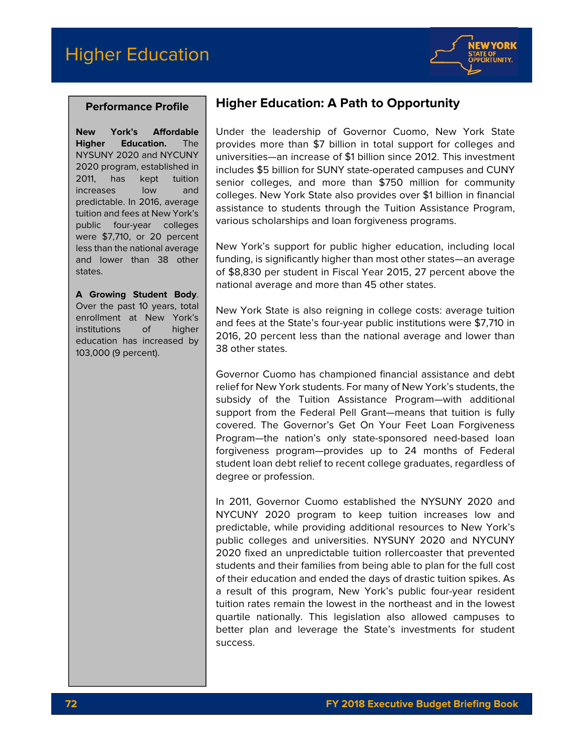

#### **Performance Profile**

**New York's Affordable Higher Education.** The NYSUNY 2020 and NYCUNY 2020 program, established in 2011, has kept tuition increases low and predictable. In 2016, average tuition and fees at New York's public four-year colleges were \$7,710, or 20 percent less than the national average and lower than 38 other states.

**A Growing Student Body**. Over the past 10 years, total enrollment at New York's institutions of higher education has increased by 103,000 (9 percent).

# **Higher Education: A Path to Opportunity**

Under the leadership of Governor Cuomo, New York State provides more than \$7 billion in total support for colleges and universities—an increase of \$1 billion since 2012. This investment includes \$5 billion for SUNY state-operated campuses and CUNY senior colleges, and more than \$750 million for community colleges. New York State also provides over \$1 billion in financial assistance to students through the Tuition Assistance Program, various scholarships and loan forgiveness programs.

New York's support for public higher education, including local funding, is significantly higher than most other states—an average of \$8,830 per student in Fiscal Year 2015, 27 percent above the national average and more than 45 other states.

New York State is also reigning in college costs: average tuition and fees at the State's four-year public institutions were \$7,710 in 2016, 20 percent less than the national average and lower than 38 other states.

Governor Cuomo has championed financial assistance and debt relief for New York students. For many of New York's students, the subsidy of the Tuition Assistance Program—with additional support from the Federal Pell Grant—means that tuition is fully covered. The Governor's Get On Your Feet Loan Forgiveness Program—the nation's only state-sponsored need-based loan forgiveness program—provides up to 24 months of Federal student loan debt relief to recent college graduates, regardless of degree or profession.

In 2011, Governor Cuomo established the NYSUNY 2020 and NYCUNY 2020 program to keep tuition increases low and predictable, while providing additional resources to New York's public colleges and universities. NYSUNY 2020 and NYCUNY 2020 fixed an unpredictable tuition rollercoaster that prevented students and their families from being able to plan for the full cost of their education and ended the days of drastic tuition spikes. As a result of this program, New York's public four-year resident tuition rates remain the lowest in the northeast and in the lowest quartile nationally. This legislation also allowed campuses to better plan and leverage the State's investments for student success.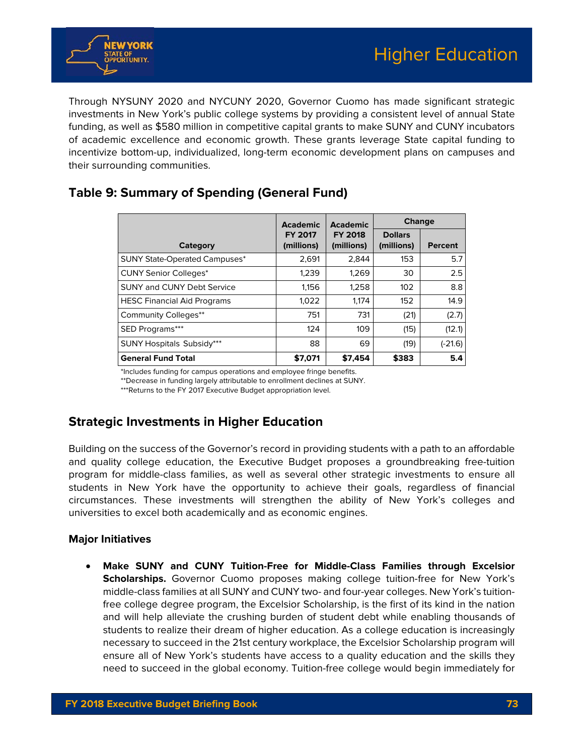

Through NYSUNY 2020 and NYCUNY 2020, Governor Cuomo has made significant strategic investments in New York's public college systems by providing a consistent level of annual State funding, as well as \$580 million in competitive capital grants to make SUNY and CUNY incubators of academic excellence and economic growth. These grants leverage State capital funding to incentivize bottom-up, individualized, long-term economic development plans on campuses and their surrounding communities.

|                                      | <b>Academic</b>              | <b>Academic</b><br><b>FY 2018</b><br>(millions) | <b>Change</b>                |                |
|--------------------------------------|------------------------------|-------------------------------------------------|------------------------------|----------------|
| Category                             | <b>FY 2017</b><br>(millions) |                                                 | <b>Dollars</b><br>(millions) | <b>Percent</b> |
| <b>SUNY State-Operated Campuses*</b> | 2.691                        | 2,844                                           | 153                          | 5.7            |
| <b>CUNY Senior Colleges*</b>         | 1,239                        | 1,269                                           | 30                           | 2.5            |
| <b>SUNY and CUNY Debt Service</b>    | 1,156                        | 1,258                                           | 102                          | 8.8            |
| <b>HESC Financial Aid Programs</b>   | 1,022                        | 1.174                                           | 152                          | 14.9           |
| <b>Community Colleges**</b>          | 751                          | 731                                             | (21)                         | (2.7)          |
| SED Programs***                      | 124                          | 109                                             | (15)                         | (12.1)         |
| <b>SUNY Hospitals Subsidy***</b>     | 88                           | 69                                              | (19)                         | (-21.6)        |
| <b>General Fund Total</b>            | \$7,071                      | \$7.454                                         | \$383                        | 5.4            |

# **Table 9: Summary of Spending (General Fund)**

\*Includes funding for campus operations and employee fringe benefits.

\*\*Decrease in funding largely attributable to enrollment declines at SUNY.

\*\*\*Returns to the FY 2017 Executive Budget appropriation level.

### **Strategic Investments in Higher Education**

Building on the success of the Governor's record in providing students with a path to an affordable and quality college education, the Executive Budget proposes a groundbreaking free-tuition program for middle-class families, as well as several other strategic investments to ensure all students in New York have the opportunity to achieve their goals, regardless of financial circumstances. These investments will strengthen the ability of New York's colleges and universities to excel both academically and as economic engines.

#### **Major Initiatives**

 **Make SUNY and CUNY Tuition-Free for Middle-Class Families through Excelsior Scholarships.** Governor Cuomo proposes making college tuition-free for New York's middle-class families at all SUNY and CUNY two- and four-year colleges. New York's tuitionfree college degree program, the Excelsior Scholarship, is the first of its kind in the nation and will help alleviate the crushing burden of student debt while enabling thousands of students to realize their dream of higher education. As a college education is increasingly necessary to succeed in the 21st century workplace, the Excelsior Scholarship program will ensure all of New York's students have access to a quality education and the skills they need to succeed in the global economy. Tuition-free college would begin immediately for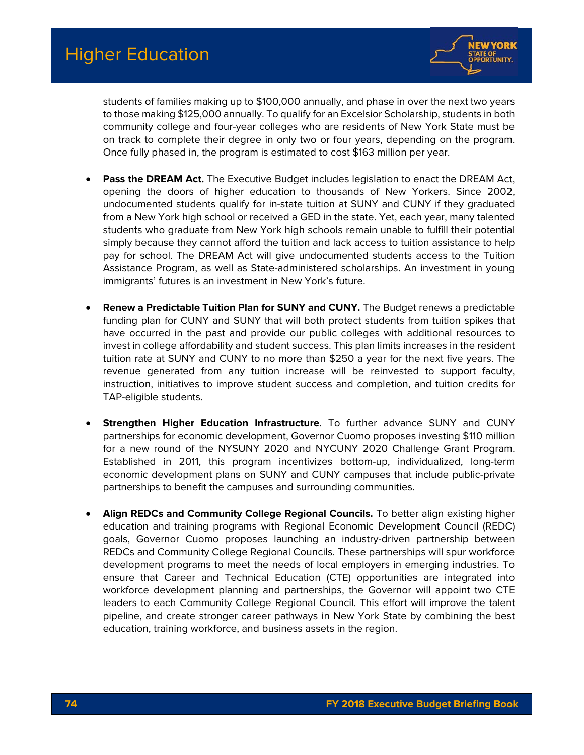

students of families making up to \$100,000 annually, and phase in over the next two years to those making \$125,000 annually. To qualify for an Excelsior Scholarship, students in both community college and four-year colleges who are residents of New York State must be on track to complete their degree in only two or four years, depending on the program. Once fully phased in, the program is estimated to cost \$163 million per year.

- **Pass the DREAM Act.** The Executive Budget includes legislation to enact the DREAM Act, opening the doors of higher education to thousands of New Yorkers. Since 2002, undocumented students qualify for in-state tuition at SUNY and CUNY if they graduated from a New York high school or received a GED in the state. Yet, each year, many talented students who graduate from New York high schools remain unable to fulfill their potential simply because they cannot afford the tuition and lack access to tuition assistance to help pay for school. The DREAM Act will give undocumented students access to the Tuition Assistance Program, as well as State-administered scholarships. An investment in young immigrants' futures is an investment in New York's future.
- **Renew a Predictable Tuition Plan for SUNY and CUNY.** The Budget renews a predictable funding plan for CUNY and SUNY that will both protect students from tuition spikes that have occurred in the past and provide our public colleges with additional resources to invest in college affordability and student success. This plan limits increases in the resident tuition rate at SUNY and CUNY to no more than \$250 a year for the next five years. The revenue generated from any tuition increase will be reinvested to support faculty, instruction, initiatives to improve student success and completion, and tuition credits for TAP-eligible students.
- **Strengthen Higher Education Infrastructure**. To further advance SUNY and CUNY partnerships for economic development, Governor Cuomo proposes investing \$110 million for a new round of the NYSUNY 2020 and NYCUNY 2020 Challenge Grant Program. Established in 2011, this program incentivizes bottom-up, individualized, long-term economic development plans on SUNY and CUNY campuses that include public-private partnerships to benefit the campuses and surrounding communities.
- **Align REDCs and Community College Regional Councils.** To better align existing higher education and training programs with Regional Economic Development Council (REDC) goals, Governor Cuomo proposes launching an industry-driven partnership between REDCs and Community College Regional Councils. These partnerships will spur workforce development programs to meet the needs of local employers in emerging industries. To ensure that Career and Technical Education (CTE) opportunities are integrated into workforce development planning and partnerships, the Governor will appoint two CTE leaders to each Community College Regional Council. This effort will improve the talent pipeline, and create stronger career pathways in New York State by combining the best education, training workforce, and business assets in the region.